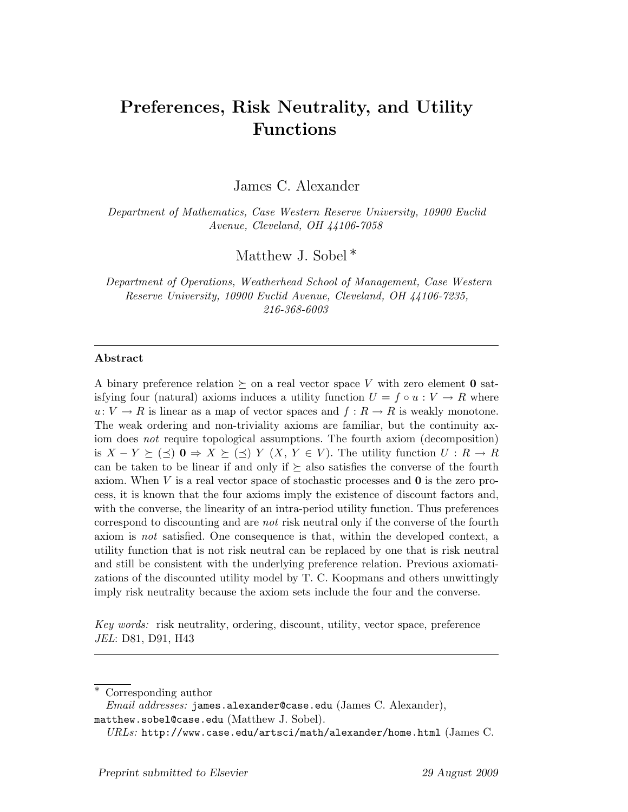# Preferences, Risk Neutrality, and Utility Functions

James C. Alexander

Department of Mathematics, Case Western Reserve University, 10900 Euclid Avenue, Cleveland, OH 44106-7058

Matthew J. Sobel<sup>\*</sup>

Department of Operations, Weatherhead School of Management, Case Western Reserve University, 10900 Euclid Avenue, Cleveland, OH 44106-7235, 216-368-6003

#### Abstract

A binary preference relation  $\succeq$  on a real vector space V with zero element 0 satisfying four (natural) axioms induces a utility function  $U = f \circ u : V \to R$  where  $u: V \to R$  is linear as a map of vector spaces and  $f: R \to R$  is weakly monotone. The weak ordering and non-triviality axioms are familiar, but the continuity axiom does not require topological assumptions. The fourth axiom (decomposition) is  $X - Y \succeq (\preceq) 0 \Rightarrow X \succeq (\preceq) Y (X, Y \in V)$ . The utility function  $U : R \to R$ can be taken to be linear if and only if  $\succeq$  also satisfies the converse of the fourth axiom. When V is a real vector space of stochastic processes and  $\bf{0}$  is the zero process, it is known that the four axioms imply the existence of discount factors and, with the converse, the linearity of an intra-period utility function. Thus preferences correspond to discounting and are not risk neutral only if the converse of the fourth axiom is not satisfied. One consequence is that, within the developed context, a utility function that is not risk neutral can be replaced by one that is risk neutral and still be consistent with the underlying preference relation. Previous axiomatizations of the discounted utility model by T. C. Koopmans and others unwittingly imply risk neutrality because the axiom sets include the four and the converse.

Key words: risk neutrality, ordering, discount, utility, vector space, preference JEL: D81, D91, H43

Corresponding author

*Email addresses:* james.alexander@case.edu (James C. Alexander), matthew.sobel@case.edu (Matthew J. Sobel).

 $URLs: \text{http://www.case.edu/artsci/math/alexander/home.html}$  (James C.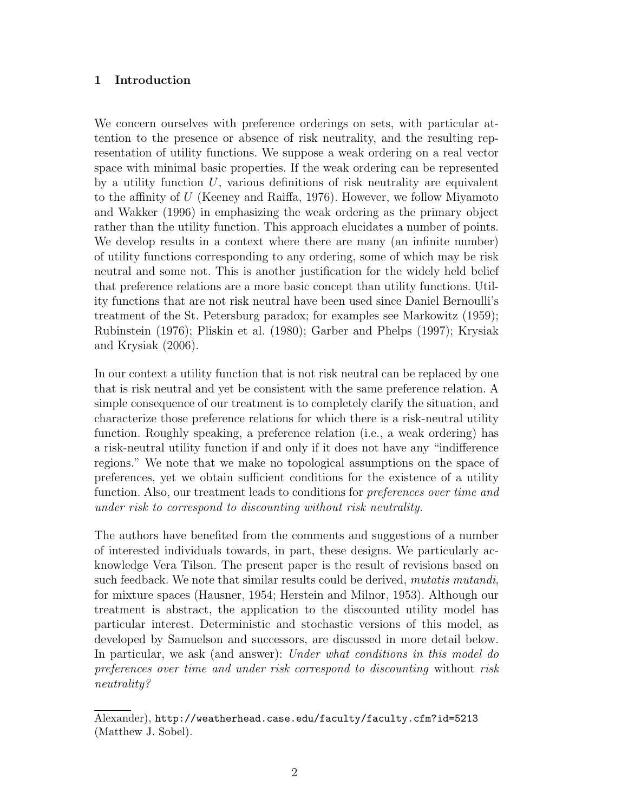# 1 Introduction

We concern ourselves with preference orderings on sets, with particular attention to the presence or absence of risk neutrality, and the resulting representation of utility functions. We suppose a weak ordering on a real vector space with minimal basic properties. If the weak ordering can be represented by a utility function  $U$ , various definitions of risk neutrality are equivalent to the affinity of U (Keeney and Raiffa, 1976). However, we follow Miyamoto and Wakker (1996) in emphasizing the weak ordering as the primary object rather than the utility function. This approach elucidates a number of points. We develop results in a context where there are many (an infinite number) of utility functions corresponding to any ordering, some of which may be risk neutral and some not. This is another justification for the widely held belief that preference relations are a more basic concept than utility functions. Utility functions that are not risk neutral have been used since Daniel Bernoulli's treatment of the St. Petersburg paradox; for examples see Markowitz (1959); Rubinstein (1976); Pliskin et al. (1980); Garber and Phelps (1997); Krysiak and Krysiak (2006).

In our context a utility function that is not risk neutral can be replaced by one that is risk neutral and yet be consistent with the same preference relation. A simple consequence of our treatment is to completely clarify the situation, and characterize those preference relations for which there is a risk-neutral utility function. Roughly speaking, a preference relation (i.e., a weak ordering) has a risk-neutral utility function if and only if it does not have any "indifference regions." We note that we make no topological assumptions on the space of preferences, yet we obtain sufficient conditions for the existence of a utility function. Also, our treatment leads to conditions for *preferences over time and* under risk to correspond to discounting without risk neutrality.

The authors have benefited from the comments and suggestions of a number of interested individuals towards, in part, these designs. We particularly acknowledge Vera Tilson. The present paper is the result of revisions based on such feedback. We note that similar results could be derived, *mutatis mutandi*, for mixture spaces (Hausner, 1954; Herstein and Milnor, 1953). Although our treatment is abstract, the application to the discounted utility model has particular interest. Deterministic and stochastic versions of this model, as developed by Samuelson and successors, are discussed in more detail below. In particular, we ask (and answer): Under what conditions in this model do preferences over time and under risk correspond to discounting without risk neutrality?

Alexander), http://weatherhead.case.edu/faculty/faculty.cfm?id=5213 (Matthew J. Sobel).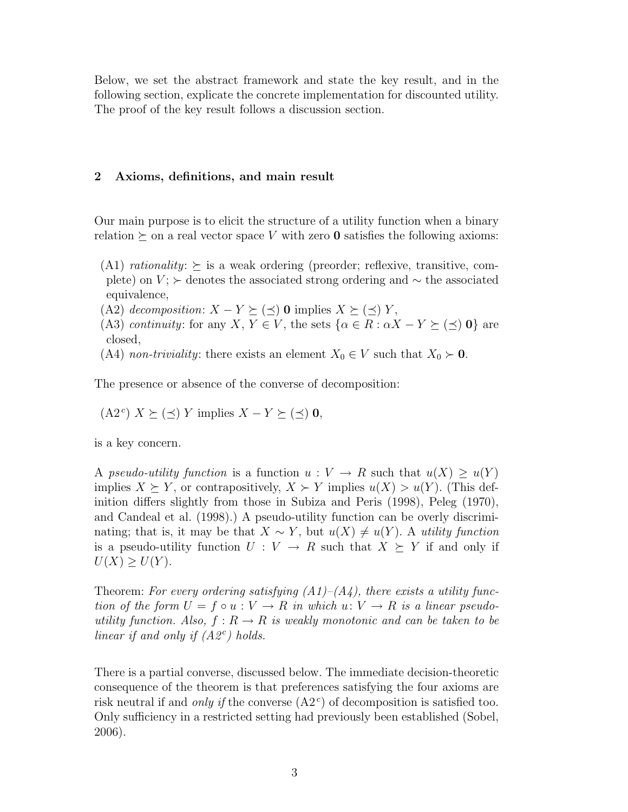Below, we set the abstract framework and state the key result, and in the following section, explicate the concrete implementation for discounted utility. The proof of the key result follows a discussion section.

# 2 Axioms, definitions, and main result

Our main purpose is to elicit the structure of a utility function when a binary relation  $\succeq$  on a real vector space V with zero **0** satisfies the following axioms:

- (A1) rationality:  $\succeq$  is a weak ordering (preorder; reflexive, transitive, complete) on  $V$ ;  $\succ$  denotes the associated strong ordering and  $\sim$  the associated equivalence,
- (A2) decomposition:  $X Y \succeq (\preceq) 0$  implies  $X \succeq (\preceq) Y$ ,
- (A3) continuity: for any X,  $Y \in V$ , the sets  $\{\alpha \in R : \alpha X Y \succeq (\preceq) 0\}$  are closed,
- (A4) non-triviality: there exists an element  $X_0 \in V$  such that  $X_0 \succ 0$ .

The presence or absence of the converse of decomposition:

 $(A2^c)$   $X \succeq (\preceq)$  Y implies  $X - Y \succeq (\preceq) 0$ ,

is a key concern.

A pseudo-utility function is a function  $u: V \to R$  such that  $u(X) \geq u(Y)$ implies  $X \succeq Y$ , or contrapositively,  $X \succeq Y$  implies  $u(X) > u(Y)$ . (This definition differs slightly from those in Subiza and Peris (1998), Peleg (1970), and Candeal et al. (1998).) A pseudo-utility function can be overly discriminating; that is, it may be that  $X \sim Y$ , but  $u(X) \neq u(Y)$ . A utility function is a pseudo-utility function  $U: V \to R$  such that  $X \succeq Y$  if and only if  $U(X) \geq U(Y)$ .

Theorem: For every ordering satisfying  $(A1)$ – $(A4)$ , there exists a utility function of the form  $U = f \circ u : V \to R$  in which  $u: V \to R$  is a linear pseudoutility function. Also,  $f: R \to R$  is weakly monotonic and can be taken to be linear if and only if  $(A2^c)$  holds.

There is a partial converse, discussed below. The immediate decision-theoretic consequence of the theorem is that preferences satisfying the four axioms are risk neutral if and *only if* the converse  $(A2<sup>c</sup>)$  of decomposition is satisfied too. Only sufficiency in a restricted setting had previously been established (Sobel, 2006).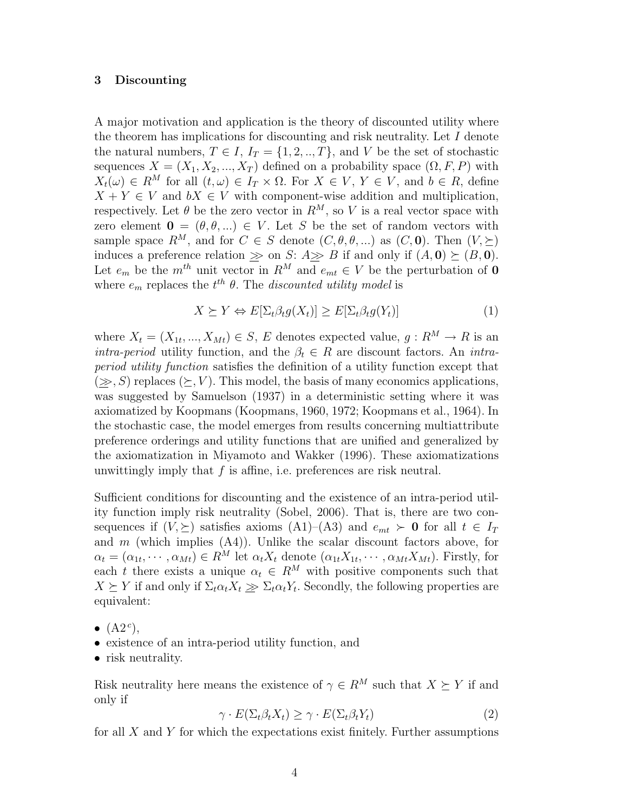#### 3 Discounting

A major motivation and application is the theory of discounted utility where the theorem has implications for discounting and risk neutrality. Let  $I$  denote the natural numbers,  $T \in I$ ,  $I_T = \{1, 2, ..., T\}$ , and V be the set of stochastic sequences  $X = (X_1, X_2, ..., X_T)$  defined on a probability space  $(\Omega, F, P)$  with  $X_t(\omega) \in R^M$  for all  $(t, \omega) \in I_T \times \Omega$ . For  $X \in V$ ,  $Y \in V$ , and  $b \in R$ , define  $X + Y \in V$  and  $bX \in V$  with component-wise addition and multiplication, respectively. Let  $\theta$  be the zero vector in  $R^M$ , so V is a real vector space with zero element  $\mathbf{0} = (\theta, \theta, \dots) \in V$ . Let S be the set of random vectors with sample space  $R^M$ , and for  $C \in S$  denote  $(C, \theta, \theta, ...)$  as  $(C, 0)$ . Then  $(V, \succeq)$ induces a preference relation  $\gg$  on S: A $\gg$  B if and only if  $(A, 0) \succeq (B, 0)$ . Let  $e_m$  be the  $m^{th}$  unit vector in  $R^M$  and  $e_{mt} \in V$  be the perturbation of **0** where  $e_m$  replaces the  $t^{th}$   $\theta$ . The *discounted utility model* is

$$
X \succeq Y \Leftrightarrow E[\Sigma_t \beta_t g(X_t)] \ge E[\Sigma_t \beta_t g(Y_t)] \tag{1}
$$

where  $X_t = (X_{1t},..., X_{Mt}) \in S$ , E denotes expected value,  $g: R^M \to R$  is an *intra-period* utility function, and the  $\beta_t \in R$  are discount factors. An *intra*period utility function satisfies the definition of a utility function except that  $(\geq, S)$  replaces  $(\succeq, V)$ . This model, the basis of many economics applications, was suggested by Samuelson (1937) in a deterministic setting where it was axiomatized by Koopmans (Koopmans, 1960, 1972; Koopmans et al., 1964). In the stochastic case, the model emerges from results concerning multiattribute preference orderings and utility functions that are unified and generalized by the axiomatization in Miyamoto and Wakker (1996). These axiomatizations unwittingly imply that  $f$  is affine, i.e. preferences are risk neutral.

Sufficient conditions for discounting and the existence of an intra-period utility function imply risk neutrality (Sobel, 2006). That is, there are two consequences if  $(V, \geq)$  satisfies axioms  $(A1)$ – $(A3)$  and  $e_{mt} > 0$  for all  $t \in I_T$ and  $m$  (which implies  $(A4)$ ). Unlike the scalar discount factors above, for  $\alpha_t = (\alpha_{1t}, \cdots, \alpha_{Mt}) \in R^M$  let  $\alpha_t X_t$  denote  $(\alpha_{1t} X_{1t}, \cdots, \alpha_{Mt} X_{Mt})$ . Firstly, for each t there exists a unique  $\alpha_t \in R^M$  with positive components such that  $X \succeq Y$  if and only if  $\Sigma_t \alpha_t X_t \geq \Sigma_t \alpha_t Y_t$ . Secondly, the following properties are equivalent:

- $\bullet$   $(A2^c)$ ,
- existence of an intra-period utility function, and
- risk neutrality.

Risk neutrality here means the existence of  $\gamma \in R^M$  such that  $X \succeq Y$  if and only if

$$
\gamma \cdot E(\Sigma_t \beta_t X_t) \ge \gamma \cdot E(\Sigma_t \beta_t Y_t) \tag{2}
$$

for all  $X$  and  $Y$  for which the expectations exist finitely. Further assumptions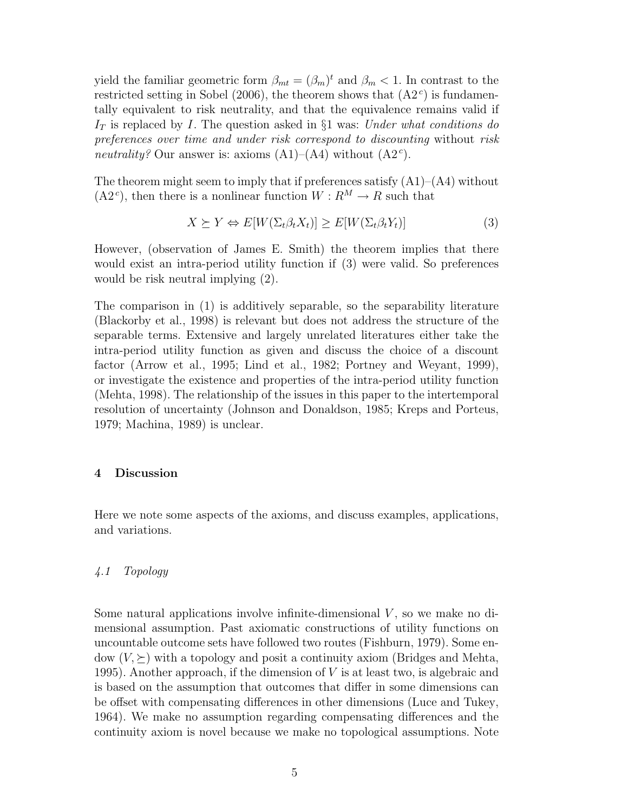yield the familiar geometric form  $\beta_{mt} = (\beta_m)^t$  and  $\beta_m < 1$ . In contrast to the restricted setting in Sobel (2006), the theorem shows that  $(A2<sup>c</sup>)$  is fundamentally equivalent to risk neutrality, and that the equivalence remains valid if  $I_T$  is replaced by I. The question asked in §1 was: Under what conditions do preferences over time and under risk correspond to discounting without risk neutrality? Our answer is: axioms  $(A1)$ – $(A4)$  without  $(A2<sup>c</sup>)$ .

The theorem might seem to imply that if preferences satisfy  $(A1)$ – $(A4)$  without  $(A2^c)$ , then there is a nonlinear function  $W: R^M \to R$  such that

$$
X \succeq Y \Leftrightarrow E[W(\Sigma_t \beta_t X_t)] \ge E[W(\Sigma_t \beta_t Y_t)] \tag{3}
$$

However, (observation of James E. Smith) the theorem implies that there would exist an intra-period utility function if (3) were valid. So preferences would be risk neutral implying (2).

The comparison in (1) is additively separable, so the separability literature (Blackorby et al., 1998) is relevant but does not address the structure of the separable terms. Extensive and largely unrelated literatures either take the intra-period utility function as given and discuss the choice of a discount factor (Arrow et al., 1995; Lind et al., 1982; Portney and Weyant, 1999), or investigate the existence and properties of the intra-period utility function (Mehta, 1998). The relationship of the issues in this paper to the intertemporal resolution of uncertainty (Johnson and Donaldson, 1985; Kreps and Porteus, 1979; Machina, 1989) is unclear.

## 4 Discussion

Here we note some aspects of the axioms, and discuss examples, applications, and variations.

## 4.1 Topology

Some natural applications involve infinite-dimensional  $V$ , so we make no dimensional assumption. Past axiomatic constructions of utility functions on uncountable outcome sets have followed two routes (Fishburn, 1979). Some endow  $(V, \succeq)$  with a topology and posit a continuity axiom (Bridges and Mehta, 1995). Another approach, if the dimension of  $V$  is at least two, is algebraic and is based on the assumption that outcomes that differ in some dimensions can be offset with compensating differences in other dimensions (Luce and Tukey, 1964). We make no assumption regarding compensating differences and the continuity axiom is novel because we make no topological assumptions. Note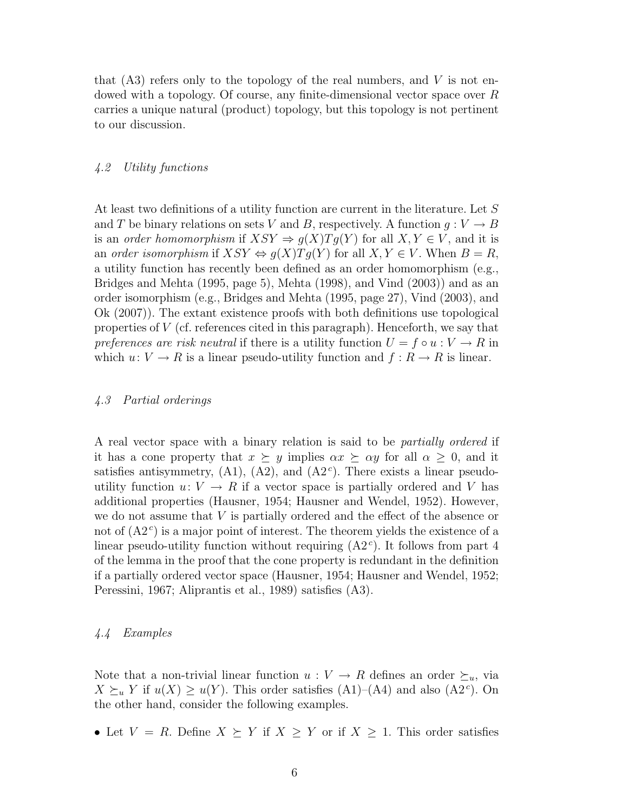that  $(A3)$  refers only to the topology of the real numbers, and V is not endowed with a topology. Of course, any finite-dimensional vector space over R carries a unique natural (product) topology, but this topology is not pertinent to our discussion.

#### 4.2 Utility functions

At least two definitions of a utility function are current in the literature. Let S and T be binary relations on sets V and B, respectively. A function  $g: V \to B$ is an order homomorphism if  $XSY \Rightarrow g(X)Tg(Y)$  for all  $X, Y \in V$ , and it is an order isomorphism if  $XSY \Leftrightarrow q(X)Tq(Y)$  for all  $X, Y \in V$ . When  $B = R$ , a utility function has recently been defined as an order homomorphism (e.g., Bridges and Mehta (1995, page 5), Mehta (1998), and Vind (2003)) and as an order isomorphism (e.g., Bridges and Mehta (1995, page 27), Vind (2003), and Ok (2007)). The extant existence proofs with both definitions use topological properties of V (cf. references cited in this paragraph). Henceforth, we say that preferences are risk neutral if there is a utility function  $U = f \circ u : V \to R$  in which  $u: V \to R$  is a linear pseudo-utility function and  $f: R \to R$  is linear.

#### 4.3 Partial orderings

A real vector space with a binary relation is said to be partially ordered if it has a cone property that  $x \succeq y$  implies  $\alpha x \succeq \alpha y$  for all  $\alpha \geq 0$ , and it satisfies antisymmetry,  $(A1)$ ,  $(A2)$ , and  $(A2<sup>c</sup>)$ . There exists a linear pseudoutility function  $u: V \to R$  if a vector space is partially ordered and V has additional properties (Hausner, 1954; Hausner and Wendel, 1952). However, we do not assume that V is partially ordered and the effect of the absence or not of  $(A2<sup>c</sup>)$  is a major point of interest. The theorem yields the existence of a linear pseudo-utility function without requiring  $(A2<sup>c</sup>)$ . It follows from part 4 of the lemma in the proof that the cone property is redundant in the definition if a partially ordered vector space (Hausner, 1954; Hausner and Wendel, 1952; Peressini, 1967; Aliprantis et al., 1989) satisfies (A3).

### 4.4 Examples

Note that a non-trivial linear function  $u: V \to R$  defines an order  $\succeq_u$ , via  $X \succeq_u Y$  if  $u(X) \ge u(Y)$ . This order satisfies (A1)–(A4) and also (A2<sup>c</sup>). On the other hand, consider the following examples.

• Let  $V = R$ . Define  $X \succeq Y$  if  $X \geq Y$  or if  $X \geq 1$ . This order satisfies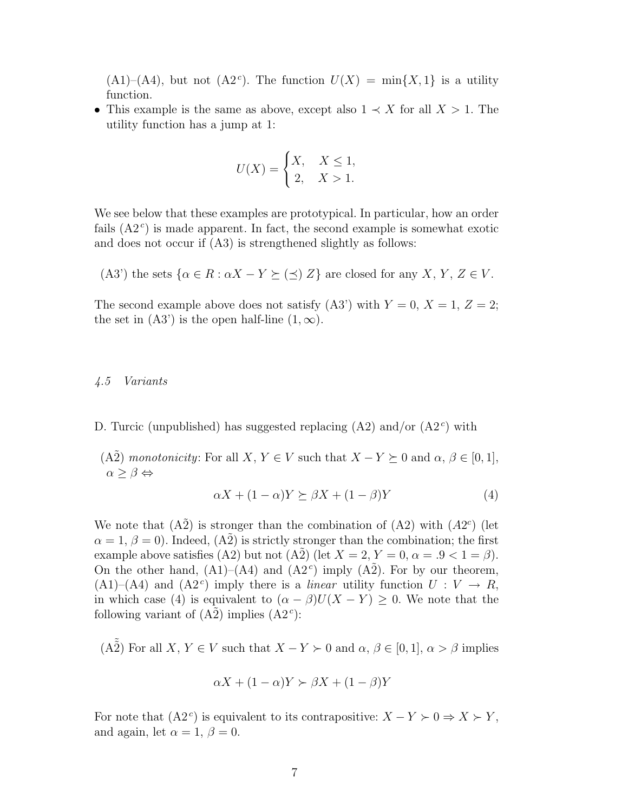$(A1)$ – $(A4)$ , but not  $(A2<sup>c</sup>)$ . The function  $U(X) = \min\{X, 1\}$  is a utility function.

• This example is the same as above, except also  $1 \prec X$  for all  $X > 1$ . The utility function has a jump at 1:

$$
U(X) = \begin{cases} X, & X \le 1, \\ 2, & X > 1. \end{cases}
$$

We see below that these examples are prototypical. In particular, how an order fails  $(A2<sup>c</sup>)$  is made apparent. In fact, the second example is somewhat exotic and does not occur if (A3) is strengthened slightly as follows:

(A3') the sets  $\{\alpha \in R : \alpha X - Y \succeq (\preceq) Z\}$  are closed for any X, Y,  $Z \in V$ .

The second example above does not satisfy (A3') with  $Y = 0$ ,  $X = 1$ ,  $Z = 2$ ; the set in  $(A3')$  is the open half-line  $(1, \infty)$ .

#### 4.5 Variants

- D. Turcic (unpublished) has suggested replacing  $(A2)$  and/or  $(A2<sup>c</sup>)$  with
- (A2) monotonicity: For all X,  $Y \in V$  such that  $X Y \succeq 0$  and  $\alpha, \beta \in [0, 1]$ ,  $\alpha \geq \beta \Leftrightarrow$

$$
\alpha X + (1 - \alpha)Y \succeq \beta X + (1 - \beta)Y \tag{4}
$$

We note that  $(A\tilde{2})$  is stronger than the combination of  $(A2)$  with  $(A2<sup>c</sup>)$  (let  $\alpha = 1, \beta = 0$ ). Indeed,  $(A2)$  is strictly stronger than the combination; the first example above satisfies (A2) but not (A2) (let  $X = 2, Y = 0, \alpha = .9 < 1 = \beta$ ). On the other hand,  $(A1)–(A4)$  and  $(A2^c)$  imply  $(A2^c)$ . For by our theorem,  $(A1)$ – $(A4)$  and  $(A2<sup>c</sup>)$  imply there is a *linear* utility function  $U: V \rightarrow R$ , in which case (4) is equivalent to  $(\alpha - \beta)U(X - Y) \geq 0$ . We note that the following variant of  $(\tilde{A2})$  implies  $(\tilde{A2}^c)$ :

(A2) For all X,  $Y \in V$  such that  $X - Y \succ 0$  and  $\alpha, \beta \in [0, 1], \alpha > \beta$  implies

$$
\alpha X + (1 - \alpha)Y \succ \beta X + (1 - \beta)Y
$$

For note that  $(A2<sup>c</sup>)$  is equivalent to its contrapositive:  $X - Y \succ 0 \Rightarrow X \succ Y$ , and again, let  $\alpha = 1, \beta = 0$ .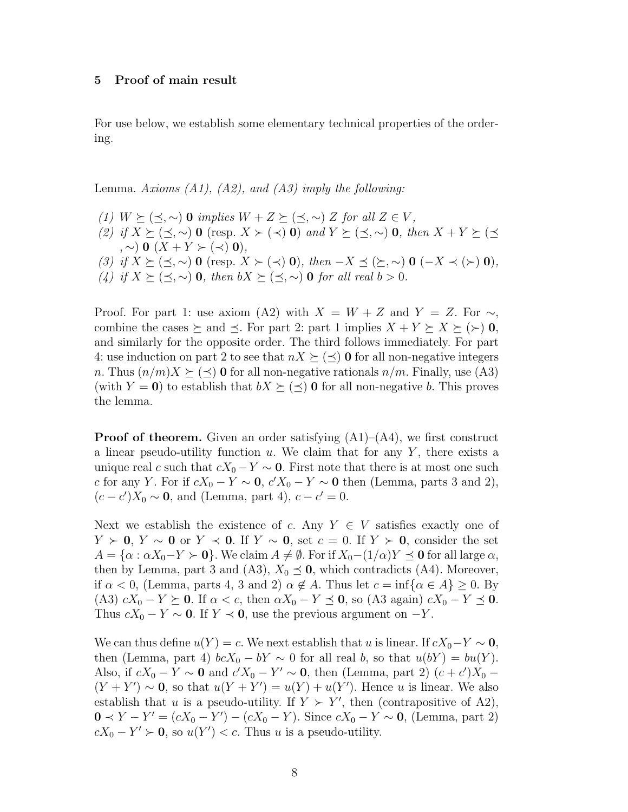#### 5 Proof of main result

For use below, we establish some elementary technical properties of the ordering.

Lemma. Axioms  $(A1)$ ,  $(A2)$ , and  $(A3)$  imply the following:

(1)  $W \succeq (\preceq, \sim)$  0 implies  $W + Z \succeq (\preceq, \sim) Z$  for all  $Z \in V$ , (2) if  $X \succeq (\preceq, \sim)$  0 (resp.  $X \succ (\prec)$  0) and  $Y \succeq (\preceq, \sim)$  0, then  $X + Y \succeq (\preceq, \sim)$  $, \sim)$  0  $(X + Y \succ (\prec)$  0), (3) if  $X \succeq (\preceq, \sim)$  0 (resp.  $X \succ (\prec)$  0), then  $-X \preceq (\succeq, \sim)$  0  $(-X \prec (\succ)$  0), (4) if  $X \succeq (\preceq, \sim)$  0, then  $bX \succeq (\preceq, \sim)$  0 for all real  $b > 0$ .

Proof. For part 1: use axiom (A2) with  $X = W + Z$  and  $Y = Z$ . For  $\sim$ , combine the cases  $\succeq$  and  $\preceq$ . For part 2: part 1 implies  $X + Y \succeq X \succeq (\succ) 0$ , and similarly for the opposite order. The third follows immediately. For part 4: use induction on part 2 to see that  $nX \succeq (\preceq) 0$  for all non-negative integers n. Thus  $(n/m)X \succeq (\preceq) 0$  for all non-negative rationals  $n/m$ . Finally, use (A3) (with  $Y = 0$ ) to establish that  $bX \succeq (\preceq) 0$  for all non-negative b. This proves the lemma.

**Proof of theorem.** Given an order satisfying  $(A1)$ – $(A4)$ , we first construct a linear pseudo-utility function  $u$ . We claim that for any Y, there exists a unique real c such that  $cX_0 - Y \sim 0$ . First note that there is at most one such c for any Y. For if  $cX_0 - Y \sim 0$ ,  $c'X_0 - Y \sim 0$  then (Lemma, parts 3 and 2),  $(c - c')X_0 \sim 0$ , and (Lemma, part 4),  $c - c' = 0$ .

Next we establish the existence of c. Any  $Y \in V$  satisfies exactly one of  $Y \succ 0$ ,  $Y \sim 0$  or  $Y \prec 0$ . If  $Y \sim 0$ , set  $c = 0$ . If  $Y \succ 0$ , consider the set  $A = {\alpha : \alpha X_0 - Y \succ 0}$ . We claim  $A \neq \emptyset$ . For if  $X_0-(1/\alpha)Y \preceq 0$  for all large  $\alpha$ , then by Lemma, part 3 and (A3),  $X_0 \leq 0$ , which contradicts (A4). Moreover, if  $\alpha < 0$ , (Lemma, parts 4, 3 and 2)  $\alpha \notin A$ . Thus let  $c = \inf{\alpha \in A} \ge 0$ . By (A3)  $cX_0 - Y \succeq 0$ . If  $\alpha < c$ , then  $\alpha X_0 - Y \preceq 0$ , so (A3 again)  $cX_0 - Y \preceq 0$ . Thus  $cX_0 - Y \sim 0$ . If  $Y \prec 0$ , use the previous argument on  $-Y$ .

We can thus define  $u(Y) = c$ . We next establish that u is linear. If  $cX_0 - Y \sim 0$ , then (Lemma, part 4)  $bcX_0 - bY \sim 0$  for all real b, so that  $u(bY) = bu(Y)$ . Also, if  $cX_0 - Y \sim 0$  and  $c'X_0 - Y' \sim 0$ , then (Lemma, part 2)  $(c + c')X_0$  –  $(Y + Y') \sim 0$ , so that  $u(Y + Y') = u(Y) + u(Y')$ . Hence u is linear. We also establish that u is a pseudo-utility. If  $Y \succ Y'$ , then (contrapositive of A2),  $0 \prec Y - Y' = (cX_0 - Y') - (cX_0 - Y)$ . Since  $cX_0 - Y \sim 0$ , (Lemma, part 2)  $cX_0 - Y' \succ 0$ , so  $u(Y') < c$ . Thus u is a pseudo-utility.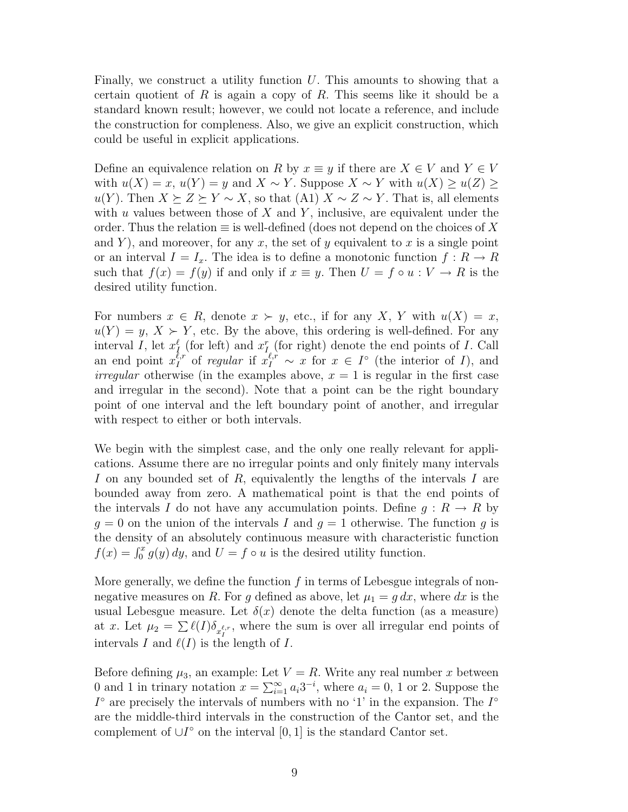Finally, we construct a utility function  $U$ . This amounts to showing that a certain quotient of  $R$  is again a copy of  $R$ . This seems like it should be a standard known result; however, we could not locate a reference, and include the construction for compleness. Also, we give an explicit construction, which could be useful in explicit applications.

Define an equivalence relation on R by  $x \equiv y$  if there are  $X \in V$  and  $Y \in V$ with  $u(X) = x$ ,  $u(Y) = y$  and  $X \sim Y$ . Suppose  $X \sim Y$  with  $u(X) \geq u(Z) \geq$  $u(Y)$ . Then  $X \succeq Z \succeq Y \sim X$ , so that (A1)  $X \sim Z \sim Y$ . That is, all elements with u values between those of  $X$  and  $Y$ , inclusive, are equivalent under the order. Thus the relation  $\equiv$  is well-defined (does not depend on the choices of X and Y), and moreover, for any x, the set of y equivalent to x is a single point or an interval  $I = I_x$ . The idea is to define a monotonic function  $f: R \to R$ such that  $f(x) = f(y)$  if and only if  $x \equiv y$ . Then  $U = f \circ u : V \to R$  is the desired utility function.

For numbers  $x \in R$ , denote  $x \succ y$ , etc., if for any X, Y with  $u(X) = x$ ,  $u(Y) = y, X \succ Y$ , etc. By the above, this ordering is well-defined. For any interval I, let  $x_I^{\ell}$  (for left) and  $x_I^{\ell}$  (for right) denote the end points of I. Call an end point  $x_I^{\ell,r}$  of *regular* if  $x_I^{\ell,r} \sim x$  for  $x \in I^{\circ}$  (the interior of I), and *irregular* otherwise (in the examples above,  $x = 1$  is regular in the first case and irregular in the second). Note that a point can be the right boundary point of one interval and the left boundary point of another, and irregular with respect to either or both intervals.

We begin with the simplest case, and the only one really relevant for applications. Assume there are no irregular points and only finitely many intervals I on any bounded set of R, equivalently the lengths of the intervals I are bounded away from zero. A mathematical point is that the end points of the intervals I do not have any accumulation points. Define  $g: R \to R$  by  $g = 0$  on the union of the intervals I and  $g = 1$  otherwise. The function g is the density of an absolutely continuous measure with characteristic function  $f(x) = \int_0^x g(y) dy$ , and  $U = f \circ u$  is the desired utility function.

More generally, we define the function  $f$  in terms of Lebesgue integrals of nonnegative measures on R. For g defined as above, let  $\mu_1 = g dx$ , where dx is the usual Lebesgue measure. Let  $\delta(x)$  denote the delta function (as a measure) at x. Let  $\mu_2 = \sum \ell(I) \delta_{x_I^{\ell,r}}$ , where the sum is over all irregular end points of intervals I and  $\ell(I)$  is the length of I.

Before defining  $\mu_3$ , an example: Let  $V = R$ . Write any real number x between 0 and 1 in trinary notation  $x = \sum_{i=1}^{\infty} a_i 3^{-i}$ , where  $a_i = 0, 1$  or 2. Suppose the  $I^{\circ}$  are precisely the intervals of numbers with no '1' in the expansion. The  $I^{\circ}$ are the middle-third intervals in the construction of the Cantor set, and the complement of  $\cup I^{\circ}$  on the interval [0, 1] is the standard Cantor set.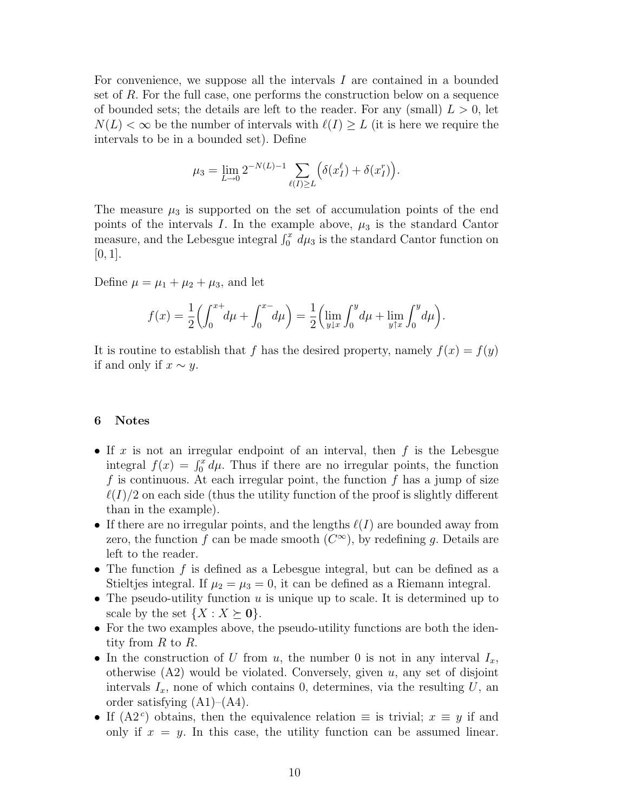For convenience, we suppose all the intervals  $I$  are contained in a bounded set of R. For the full case, one performs the construction below on a sequence of bounded sets; the details are left to the reader. For any (small)  $L > 0$ , let  $N(L) < \infty$  be the number of intervals with  $\ell(I) \geq L$  (it is here we require the intervals to be in a bounded set). Define

$$
\mu_3 = \lim_{L \to 0} 2^{-N(L)-1} \sum_{\ell(I) \ge L} \left( \delta(x_I^{\ell}) + \delta(x_I^r) \right).
$$

The measure  $\mu_3$  is supported on the set of accumulation points of the end points of the intervals I. In the example above,  $\mu_3$  is the standard Cantor measure, and the Lebesgue integral  $\int_0^x d\mu_3$  is the standard Cantor function on  $[0, 1]$ .

Define  $\mu = \mu_1 + \mu_2 + \mu_3$ , and let

$$
f(x) = \frac{1}{2} \left( \int_0^{x+} d\mu + \int_0^{x-} d\mu \right) = \frac{1}{2} \left( \lim_{y \downarrow x} \int_0^y d\mu + \lim_{y \uparrow x} \int_0^y d\mu \right).
$$

It is routine to establish that f has the desired property, namely  $f(x) = f(y)$ if and only if  $x \sim y$ .

#### 6 Notes

- If x is not an irregular endpoint of an interval, then  $f$  is the Lebesgue integral  $f(x) = \int_0^x d\mu$ . Thus if there are no irregular points, the function f is continuous. At each irregular point, the function f has a jump of size  $\ell(I)/2$  on each side (thus the utility function of the proof is slightly different than in the example).
- If there are no irregular points, and the lengths  $\ell(I)$  are bounded away from zero, the function f can be made smooth  $(C^{\infty})$ , by redefining g. Details are left to the reader.
- The function  $f$  is defined as a Lebesgue integral, but can be defined as a Stieltjes integral. If  $\mu_2 = \mu_3 = 0$ , it can be defined as a Riemann integral.
- The pseudo-utility function  $u$  is unique up to scale. It is determined up to scale by the set  $\{X : X \succeq \mathbf{0}\}.$
- For the two examples above, the pseudo-utility functions are both the identity from  $R$  to  $R$ .
- In the construction of U from u, the number 0 is not in any interval  $I_x$ , otherwise  $(A2)$  would be violated. Conversely, given u, any set of disjoint intervals  $I_x$ , none of which contains 0, determines, via the resulting U, an order satisfying  $(A1)$ – $(A4)$ .
- If (A2<sup>c</sup>) obtains, then the equivalence relation  $\equiv$  is trivial;  $x \equiv y$  if and only if  $x = y$ . In this case, the utility function can be assumed linear.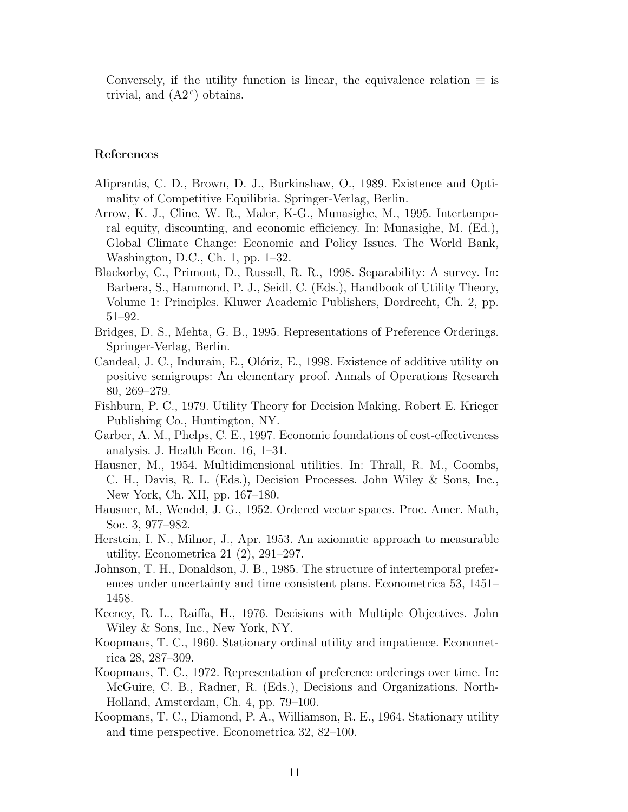Conversely, if the utility function is linear, the equivalence relation  $\equiv$  is trivial, and  $(A2^c)$  obtains.

### References

- Aliprantis, C. D., Brown, D. J., Burkinshaw, O., 1989. Existence and Optimality of Competitive Equilibria. Springer-Verlag, Berlin.
- Arrow, K. J., Cline, W. R., Maler, K-G., Munasighe, M., 1995. Intertemporal equity, discounting, and economic efficiency. In: Munasighe, M. (Ed.), Global Climate Change: Economic and Policy Issues. The World Bank, Washington, D.C., Ch. 1, pp. 1–32.
- Blackorby, C., Primont, D., Russell, R. R., 1998. Separability: A survey. In: Barbera, S., Hammond, P. J., Seidl, C. (Eds.), Handbook of Utility Theory, Volume 1: Principles. Kluwer Academic Publishers, Dordrecht, Ch. 2, pp. 51–92.
- Bridges, D. S., Mehta, G. B., 1995. Representations of Preference Orderings. Springer-Verlag, Berlin.
- Candeal, J. C., Indurain, E., Olóriz, E., 1998. Existence of additive utility on positive semigroups: An elementary proof. Annals of Operations Research 80, 269–279.
- Fishburn, P. C., 1979. Utility Theory for Decision Making. Robert E. Krieger Publishing Co., Huntington, NY.
- Garber, A. M., Phelps, C. E., 1997. Economic foundations of cost-effectiveness analysis. J. Health Econ. 16, 1–31.
- Hausner, M., 1954. Multidimensional utilities. In: Thrall, R. M., Coombs, C. H., Davis, R. L. (Eds.), Decision Processes. John Wiley & Sons, Inc., New York, Ch. XII, pp. 167–180.
- Hausner, M., Wendel, J. G., 1952. Ordered vector spaces. Proc. Amer. Math, Soc. 3, 977–982.
- Herstein, I. N., Milnor, J., Apr. 1953. An axiomatic approach to measurable utility. Econometrica 21 (2), 291–297.
- Johnson, T. H., Donaldson, J. B., 1985. The structure of intertemporal preferences under uncertainty and time consistent plans. Econometrica 53, 1451– 1458.
- Keeney, R. L., Raiffa, H., 1976. Decisions with Multiple Objectives. John Wiley & Sons, Inc., New York, NY.
- Koopmans, T. C., 1960. Stationary ordinal utility and impatience. Econometrica 28, 287–309.
- Koopmans, T. C., 1972. Representation of preference orderings over time. In: McGuire, C. B., Radner, R. (Eds.), Decisions and Organizations. North-Holland, Amsterdam, Ch. 4, pp. 79–100.
- Koopmans, T. C., Diamond, P. A., Williamson, R. E., 1964. Stationary utility and time perspective. Econometrica 32, 82–100.